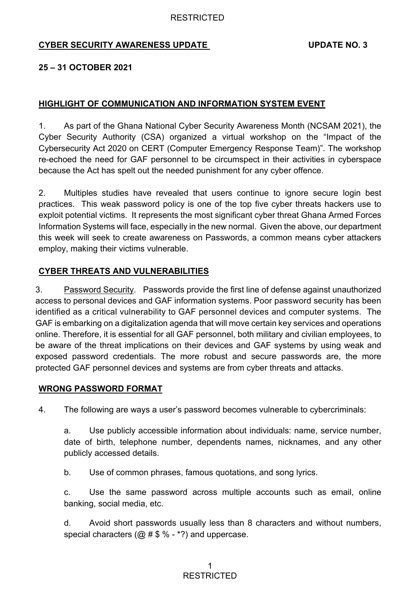# **CYBER SECURITY AWARENESS UPDATE UPDATE NO. 3**

#### **25 – 31 OCTOBER 2021**

## **HIGHLIGHT OF COMMUNICATION AND INFORMATION SYSTEM EVENT**

1. As part of the Ghana National Cyber Security Awareness Month (NCSAM 2021), the Cyber Security Authority (CSA) organized a virtual workshop on the "Impact of the Cybersecurity Act 2020 on CERT (Computer Emergency Response Team)". The workshop re-echoed the need for GAF personnel to be circumspect in their activities in cyberspace because the Act has spelt out the needed punishment for any cyber offence.

2. Multiples studies have revealed that users continue to ignore secure login best practices. This weak password policy is one of the top five cyber threats hackers use to exploit potential victims. It represents the most significant cyber threat Ghana Armed Forces Information Systems will face, especially in the new normal. Given the above, our department this week will seek to create awareness on Passwords, a common means cyber attackers employ, making their victims vulnerable.

## **CYBER THREATS AND VULNERABILITIES**

3. Password Security. Passwords provide the first line of defense against unauthorized access to personal devices and GAF information systems. Poor password security has been identified as a critical vulnerability to GAF personnel devices and computer systems. The GAF is embarking on a digitalization agenda that will move certain key services and operations online. Therefore, it is essential for all GAF personnel, both military and civilian employees, to be aware of the threat implications on their devices and GAF systems by using weak and exposed password credentials. The more robust and secure passwords are, the more protected GAF personnel devices and systems are from cyber threats and attacks.

#### **WRONG PASSWORD FORMAT**

4. The following are ways a user's password becomes vulnerable to cybercriminals:

a. Use publicly accessible information about individuals: name, service number, date of birth, telephone number, dependents names, nicknames, and any other publicly accessed details.

b. Use of common phrases, famous quotations, and song lyrics.

c. Use the same password across multiple accounts such as email, online banking, social media, etc.

d. Avoid short passwords usually less than 8 characters and without numbers, special characters ( $@#$ \$ % - \*?) and uppercase.